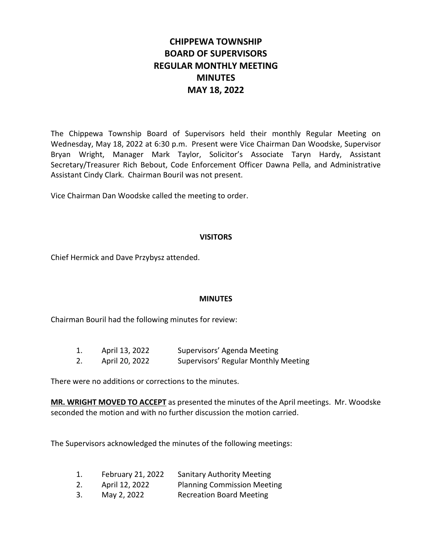# **CHIPPEWA TOWNSHIP BOARD OF SUPERVISORS REGULAR MONTHLY MEETING MINUTES MAY 18, 2022**

The Chippewa Township Board of Supervisors held their monthly Regular Meeting on Wednesday, May 18, 2022 at 6:30 p.m. Present were Vice Chairman Dan Woodske, Supervisor Bryan Wright, Manager Mark Taylor, Solicitor's Associate Taryn Hardy, Assistant Secretary/Treasurer Rich Bebout, Code Enforcement Officer Dawna Pella, and Administrative Assistant Cindy Clark. Chairman Bouril was not present.

Vice Chairman Dan Woodske called the meeting to order.

### **VISITORS**

Chief Hermick and Dave Przybysz attended.

### **MINUTES**

Chairman Bouril had the following minutes for review:

| 1. | April 13, 2022 | Supervisors' Agenda Meeting          |
|----|----------------|--------------------------------------|
| 2. | April 20, 2022 | Supervisors' Regular Monthly Meeting |

There were no additions or corrections to the minutes.

**MR. WRIGHT MOVED TO ACCEPT** as presented the minutes of the April meetings. Mr. Woodske seconded the motion and with no further discussion the motion carried.

The Supervisors acknowledged the minutes of the following meetings:

| 1. | February 21, 2022 | <b>Sanitary Authority Meeting</b>  |
|----|-------------------|------------------------------------|
| 2. | April 12, 2022    | <b>Planning Commission Meeting</b> |
| 3. | May 2, 2022       | <b>Recreation Board Meeting</b>    |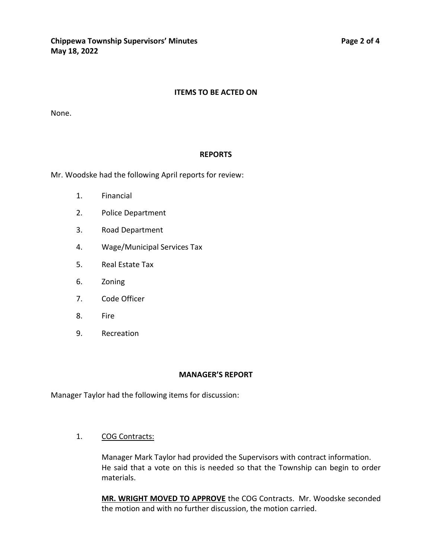#### **ITEMS TO BE ACTED ON**

None.

#### **REPORTS**

Mr. Woodske had the following April reports for review:

- 1. Financial
- 2. Police Department
- 3. Road Department
- 4. Wage/Municipal Services Tax
- 5. Real Estate Tax
- 6. Zoning
- 7. Code Officer
- 8. Fire
- 9. Recreation

#### **MANAGER'S REPORT**

Manager Taylor had the following items for discussion:

1. COG Contracts:

Manager Mark Taylor had provided the Supervisors with contract information. He said that a vote on this is needed so that the Township can begin to order materials.

**MR. WRIGHT MOVED TO APPROVE** the COG Contracts. Mr. Woodske seconded the motion and with no further discussion, the motion carried.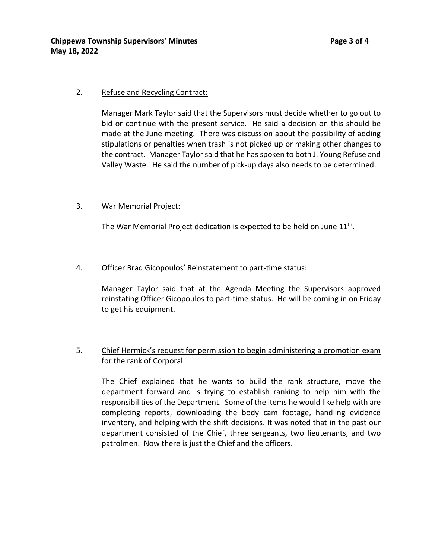### 2. Refuse and Recycling Contract:

Manager Mark Taylor said that the Supervisors must decide whether to go out to bid or continue with the present service. He said a decision on this should be made at the June meeting. There was discussion about the possibility of adding stipulations or penalties when trash is not picked up or making other changes to the contract. Manager Taylor said that he has spoken to both J. Young Refuse and Valley Waste. He said the number of pick-up days also needs to be determined.

#### 3. War Memorial Project:

The War Memorial Project dedication is expected to be held on June  $11<sup>th</sup>$ .

#### 4. Officer Brad Gicopoulos' Reinstatement to part-time status:

Manager Taylor said that at the Agenda Meeting the Supervisors approved reinstating Officer Gicopoulos to part-time status. He will be coming in on Friday to get his equipment.

### 5. Chief Hermick's request for permission to begin administering a promotion exam for the rank of Corporal:

The Chief explained that he wants to build the rank structure, move the department forward and is trying to establish ranking to help him with the responsibilities of the Department. Some of the items he would like help with are completing reports, downloading the body cam footage, handling evidence inventory, and helping with the shift decisions. It was noted that in the past our department consisted of the Chief, three sergeants, two lieutenants, and two patrolmen. Now there is just the Chief and the officers.